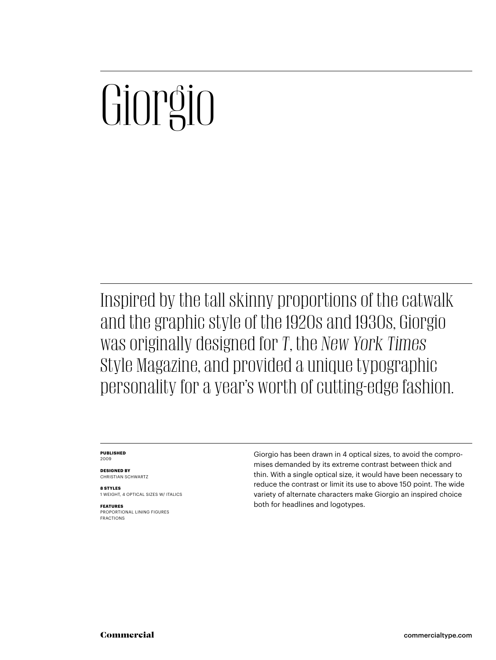# $\overline{\mathsf{C}}$

Inspired by the tall skinny proportions of the catwalk and the graphic style of the 1920s and 1930s, Giorgio was originally designed for *T*, the *New York Times* Style Magazine, and provided a unique typographic personality for a year's worth of cutting-edge fashion.

### **PUBLISHED** 2009

**DESIGNED BY** CHRISTIAN SCHWARTZ

**8 STYLES** 1 WEIGHT, 4 OPTICAL SIZES W/ ITALICS

**FEATURES** PROPORTIONAL LINING FIGURES FRACTIONS Giorgio has been drawn in 4 optical sizes, to avoid the compromises demanded by its extreme contrast between thick and thin. With a single optical size, it would have been necessary to reduce the contrast or limit its use to above 150 point. The wide variety of alternate characters make Giorgio an inspired choice both for headlines and logotypes.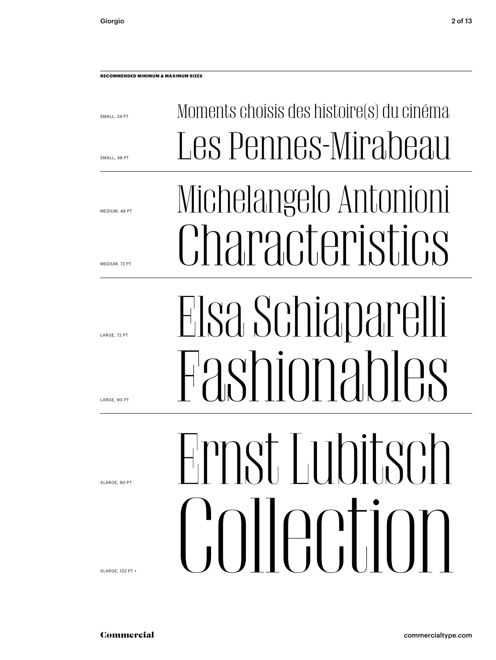SMALL, 24 PT

SMALL, 48 PT

MEDIUM, 48 PT

MEDIUM, 72 PT

LARGE, 72 PT

LARGE, 90 PT

XLARGE, 90 PT

XLARGE, 132 PT +

Elsa Schiaparelli

Moments choisis des histoire(s) du cinéma

Les Pennes-Mirabeau

Michelangelo Antonioni

Characteristics

Himst Lubitsch Ernst Lubitsch Commercialtype<br>Commercialtype<br>Commercialtype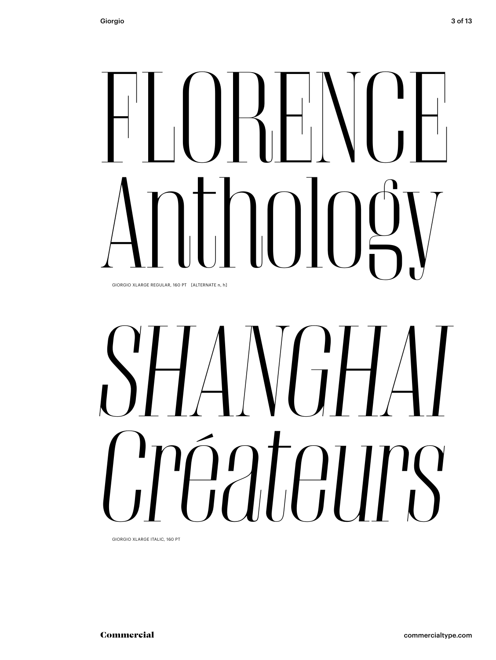## $\prod_{i=1}^{n}$  $\int_{\mathbb{R}}\int_{\mathbb{R}}\int_{\mathbb{R}}$ GIORGIO XLARGE REGULAR, 160 PT [ALTERNATE n, h]

## OIORGIO XLARGE REGULAR, 160 PT [ALTERNATE n, h] *SHANGHAI Créateurs*

GIORGIO XLARGE ITALIC, 160 PT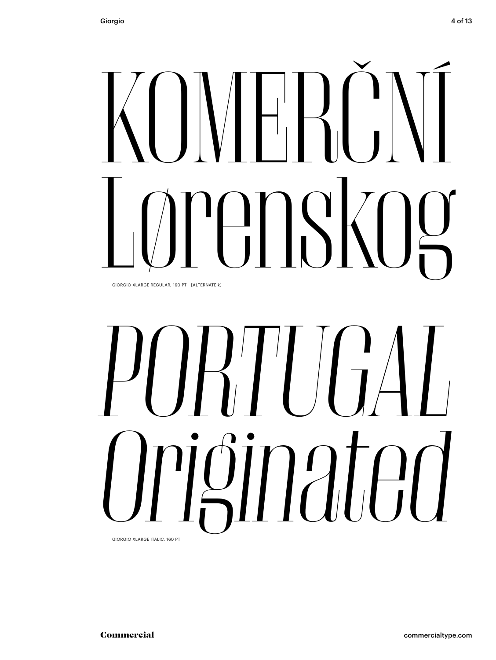### $\begin{bmatrix} 1 & 1 \\ 1 & 1 \end{bmatrix}$  $\left\{ \right. \right\}$ KOMERČNÍ GIORGIO XLARGE REGULAR, 160 PT [ALTERNATE k]

# OORGIO XLARGE REGULAR, 160 PT LALTERNATE KJ *PORTUGAL Originated*

GIORGIO XLARGE ITALIC, 160 PT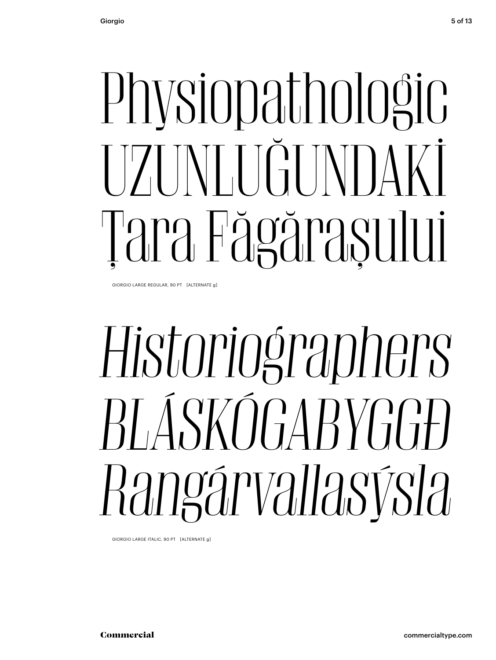# Physiopathologic<br>T7TNTTGUNDAKİ Tara Fägğraşului

GIORGIO LARGE REGULAR, 90 PT [ALTERNATE g]

### Historiographers *Historiographers BLÁSKÓGABYGGÐ Rangárvallasýsla*

GIORGIO LARGE ITALIC, 90 PT [ALTERNATE g]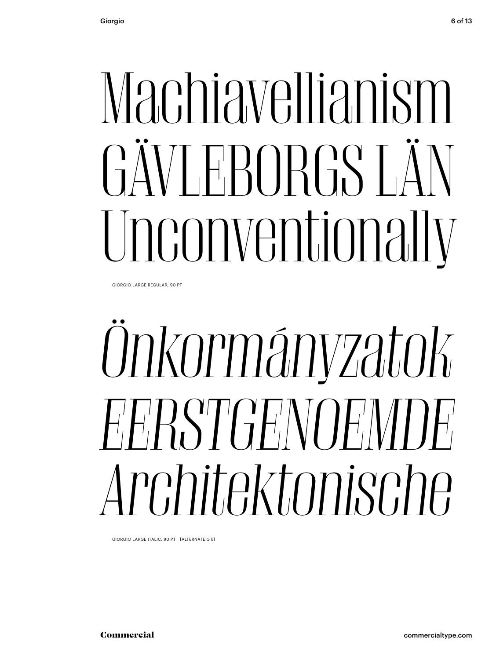## Machiavellianism GÄVLEBORGS LÄN Unconventionally

GIORGIO LARGE REGULAR, 90 PT

### Onkormányzatok *Önkormányzatok EERSTGENOEMDE Architekture Sopri (ALTERNATE G k)*<br>*Architektonische ITALIC, 90 PT (ALTERNATE G k)*

GIORGIO LARGE ITALIC, 90 PT [ALTERNATE G k]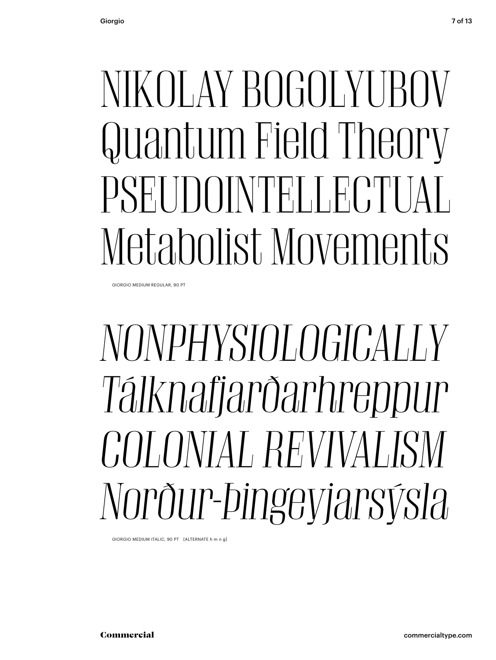### NIKOLAY BOGOLYUBOV Quantum Field Theory PSEUDOINTELLECTUAL Metabolist Movements

GIORGIO MEDIUM REGULAR, 90 PT

### NONPHYSIOLOGICALLY *Tálknafjarðarhreppur Tálknafjarðarhreppur COLONIAL REVIVALISM Nordur-Pillet Computer Computer Computer Computer Computer Computer Computer Computer Computer Computer Computer Computer Computer Computer Computer Computer Computer Computer Computer Computer Computer Computer Computer*

GIORGIO MEDIUM ITALIC, 90 PT [ALTERNATE h m n g]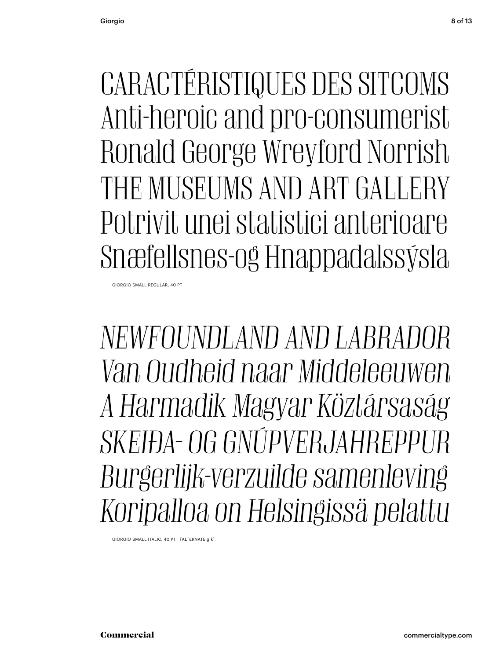CARACTÉRISTIQUES DES SITCOMS Anti-heroic and pro-consumerist Ronald George Wreyford Norrish THE MUSEUMS AND ART GALLERY Potrivit unei statistici anterioare Snæfellsnes-og Hnappadalssýsla

GIORGIO SMALL REGULAR, 40 PT

*NEWFOUNDLAND AND LABRADOR Van Oudheid naar Middeleeuwen A Harmadik Magyar Köztársaság SKEIÐA- OG GNÚPVERJAHREPPUR Burgerlijk-verzuilde samenleving Koripalloa on Helsingissä pelattu*

GIORGIO SMALL ITALIC, 40 PT [ALTERNATE g k]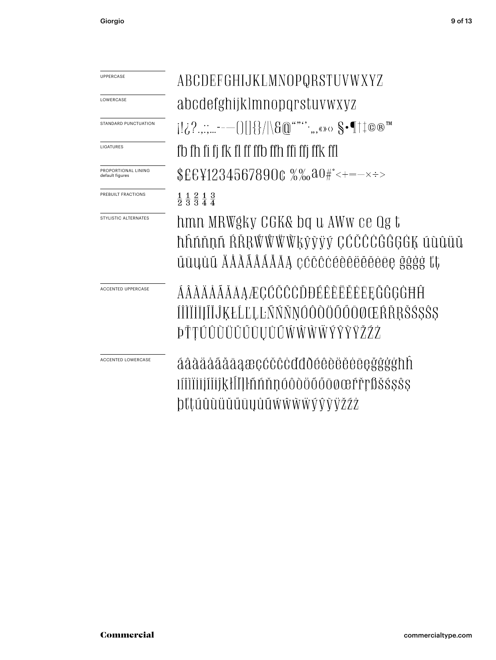| <b>UPPERCASE</b>                       | ABCDEFGHIJKLMNOPQRSTUVWXYZ                                                                                                                                                                                                         |
|----------------------------------------|------------------------------------------------------------------------------------------------------------------------------------------------------------------------------------------------------------------------------------|
| LOWERCASE                              | abcdefghijklmnopqrstuvwxyz                                                                                                                                                                                                         |
| STANDARD PUNCTUATION                   | $[1,2, \ldots -1]$ $[3,4]$ $[3,4]$ $[3,4]$ $[3,4]$ $[3,4]$ $[3,4]$ $[4,4]$ $[3,4]$ $[4,4]$ $[4,4]$ $[5,4]$ $[5,4]$ $[6,4]$ $[7,4]$ $[8,4]$ $[8,4]$ $[1,4]$ $[1,4]$ $[1,4]$ $[1,4]$ $[1,4]$ $[1,4]$ $[1,4]$ $[1,4]$ $[1,4]$ $[1,4]$ |
| LIGATURES                              | fb fh fi fi fk fl ff ffb ffh ffi ffi ffk ffl                                                                                                                                                                                       |
| PROPORTIONAL LINING<br>default figures | $EEY12345678900 %$ $% 0.000$ $*$ $*$ $*$ $*$ $*$ $*$ $*$                                                                                                                                                                           |
| PREBUILT FRACTIONS                     | $\frac{1}{2}$ $\frac{1}{3}$ $\frac{2}{3}$ $\frac{1}{4}$ $\frac{3}{4}$                                                                                                                                                              |
| STYLISTIC ALTERNATES                   | hmn MRWgky CGK& bq u AWW ce Qg t<br>hhnhnn RŘRŴŴŴŴkŷỳÿý CĆČČČĞĜGĠĶ úùûüŭ<br>űūyůű ÄÅÅÃÅÅÅÅA céčêėêêëĕĕėēę ğĝģġ ťt                                                                                                                  |
| <b>ACCENTED UPPERCASE</b>              | ÁÂÀÄÅÃĂĀAÆÇĆČĈĊĎĐÉÊÈËĔĒEĘĞĜGĠĦĤ<br>ÍÎÌÏİĬĮĨĬĴĶŁĹĽĻĿŇŇŇŇÓÔÔÖŐŐŌØŒŔŘŖŠŚ\$Ŝ\$<br><i><b>ÞŤŢÚÛŨÜŬŰŪŲŮŨŴŴŴŴÝŶŸŽŹŻ</b></i>                                                                                                                |
| <b>ACCENTED LOWERCASE</b>              | áâàäåããāaæçćčĉċďđðéêèëěėeçğĝģġħh<br>IIIIIIIIIIIIKHIIIInnnoodöööoocerrposssss<br>þťtúûùüŭűūyůũẃŵẁẅýŷỳÿžźż                                                                                                                           |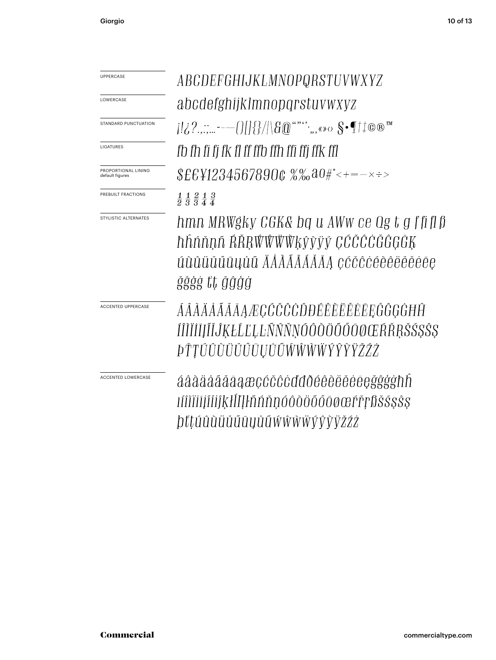| <b>UPPERCASE</b>                       | ABCDEFGHIJKLMNOPQRSTUVWXYZ                                                                                           |
|----------------------------------------|----------------------------------------------------------------------------------------------------------------------|
| LOWERCASE                              | abcdefghijklmnopqrstuvwxyz                                                                                           |
| STANDARD PUNCTUATION                   | $\{ \{i\}^2, \ldots -\ell\}  = \{ \{i\}^2 ,  \{i\}^2 , \ldots, \ell \ge 0\}$ of $\mathbb{T}^{\pm}$ to $\mathbb{R}^m$ |
| LIGATURES                              | fb fh fi fj fk fl ff ffb ffh ffi ffj ffk ffl                                                                         |
| PROPORTIONAL LINING<br>default figures | $$EEY12345678900~\%$ %a0#°<+=- $\times$ ÷>                                                                           |
| PREBUILT FRACTIONS                     | $\frac{1}{2}$ $\frac{1}{3}$ $\frac{2}{3}$ $\frac{1}{4}$ $\frac{3}{4}$                                                |
| STYLISTIC ALTERNATES                   | hmn MRWgky CGK& bq u AWw ce Qg t g ffiflß                                                                            |
|                                        | hhnnnn AŘRŴŴŴŴķŷỳÿý ÇĆČĈĊĞĜĢĠĶ                                                                                       |
|                                        | úùûüŭűūyůű ÄÅÀÃÁÁĂĂĄ çćčĉċéèêëĕěėee                                                                                  |
|                                        | ğêğg tt ğâğg                                                                                                         |
| <b>ACCENTED UPPERCASE</b>              | ÁÂÀÄÅÃĂĀAÆÇĆČĈĊĎĐÉÊÈËËEĒĘĞĜĢĠĦĤ                                                                                      |
|                                        | ÍÎÌĬĬĬĮĨĬĴĶŁĹĽĻĿÑŃŇŅÓÔŎÖŐŐŌØŒŔŘŖŠŚŞŜŞ                                                                                |
|                                        | <i><b>ÞŤŢÚÛŨÜŬŰŪŲŮŨŴŴŴŴŶŶŸŽŹŻ</b></i>                                                                                |
| <b>ACCENTED LOWERCASE</b>              | áâàäååãāaæçćčĉċďđðéêèëèėegğĝġħh                                                                                      |
|                                        | 1ÍÎÎÎÎIÎIĬIÎKHILHÑŇŊŎÔŎÖŐŐŌØŒŕřŗßŠŚŞŜŞ                                                                               |
|                                        |                                                                                                                      |
|                                        | <i>bťtúûùüŭűūyůũ</i> wŵŵŵýŷ <i>ỳžźż</i>                                                                              |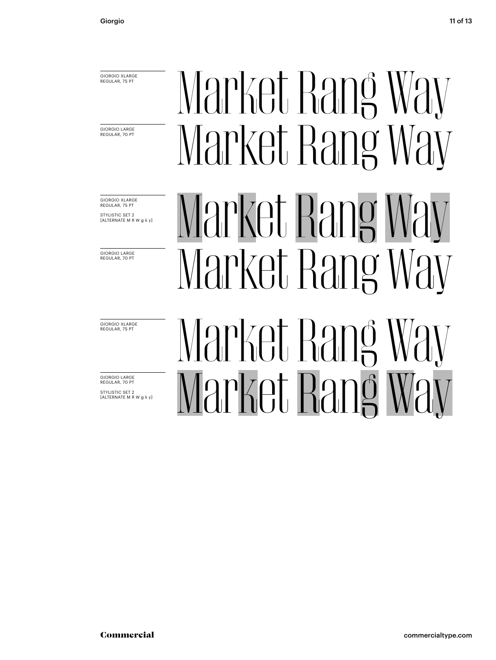GIORGIO XLARGE REGULAR, 75 PT

GIORGIO LARGE<br>REGULAR, 70 PT

GIORGIO XLARGE REGULAR, 75 PT STYLISTIC SET 2 [ALTERNATE M R W g k y]

GIORGIO LARGE REGULAR, 70 PT

GIORGIO XLARGE REGULAR, 75 PT

GIORGIO LARGE REGULAR, 70 PT STYLISTIC SET 2 [ALTERNATE M R W g k y]

### Market Rang Way Market Rang Way Market Rang Way Market Rang Way Market Rang Way  $\mathcal{M}$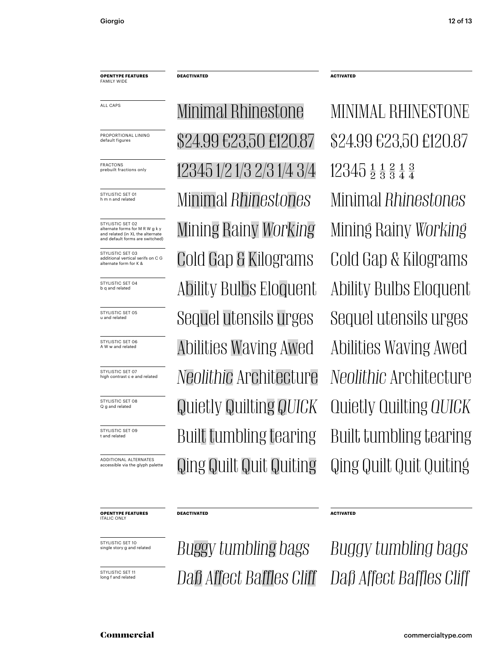**OPENTYPE FEATURES** FAMILY WIDE

default figures

FRACTONS<br>prebuilt fractions only

STYLISTIC SET 01 h m n and related

STYLISTIC SET 02 alternate forms for M R W g k y and related (in XL the alternate and default forms are switched)

STYLISTIC SET 03 additional vertical serifs on C G alternate form for K &

STYLISTIC SFT 04 b q and related

STYLISTIC SET 05 u and related

STYLISTIC SET 06 A W w and related

STYLISTIC SET 07 high contrast c e and related

STYLISTIC SET 08 Q g and related

STYLISTIC SET 09 t and related

ADDITIONAL ALTERNATES accessible via the glyph palette

**OPENTYPE FEATURES**

ITALIC ONLY

STYLISTIC SET 10 single story g and related

STYLISTIC SET 11<br>long f and related

Minimal *Rhinestones* Minimal *Rhinestones* Mining Rainy *Working* Mining Rainy *Working* Cold Gap & Kilograms Cold Gap & Kilograms Ability Bulbs Eloquent Ability Bulbs Eloquent Sequel utensils urges Sequel utensils urges Abilities Waving Awed Abilities Waving Awed *Neolithic* Architecture *Neolithic* Architecture Quietly Quilting *QUICK* Quietly Quilting *QUICK* Built tumbling tearing Built tumbling tearing Qing Quilt Quit Quiting Qing Quilt Quit Quiting ALL CAPS MINIMAL RHINESTONE MINIMAL RHINESTONE PROPORTIONAL LINING  $$24.99 \, \text{E}23.50 \, \text{E}120.87$   $$24.99 \, \text{E}23.50 \, \text{E}120.87$ 12345 1/2 1/3 2/3 1/4 3/4 12345  $\frac{1}{2}$   $\frac{1}{3}$   $\frac{2}{3}$   $\frac{1}{4}$   $\frac{3}{4}$ 

**DEACTIVATED ACTIVATED** 

**DEACTIVATED** ACTIVATED

*Buggy tumbling bags Buggy tumbling bags* **Daß Affect Baffles Cliff** Daß Affect Baffles Cliff